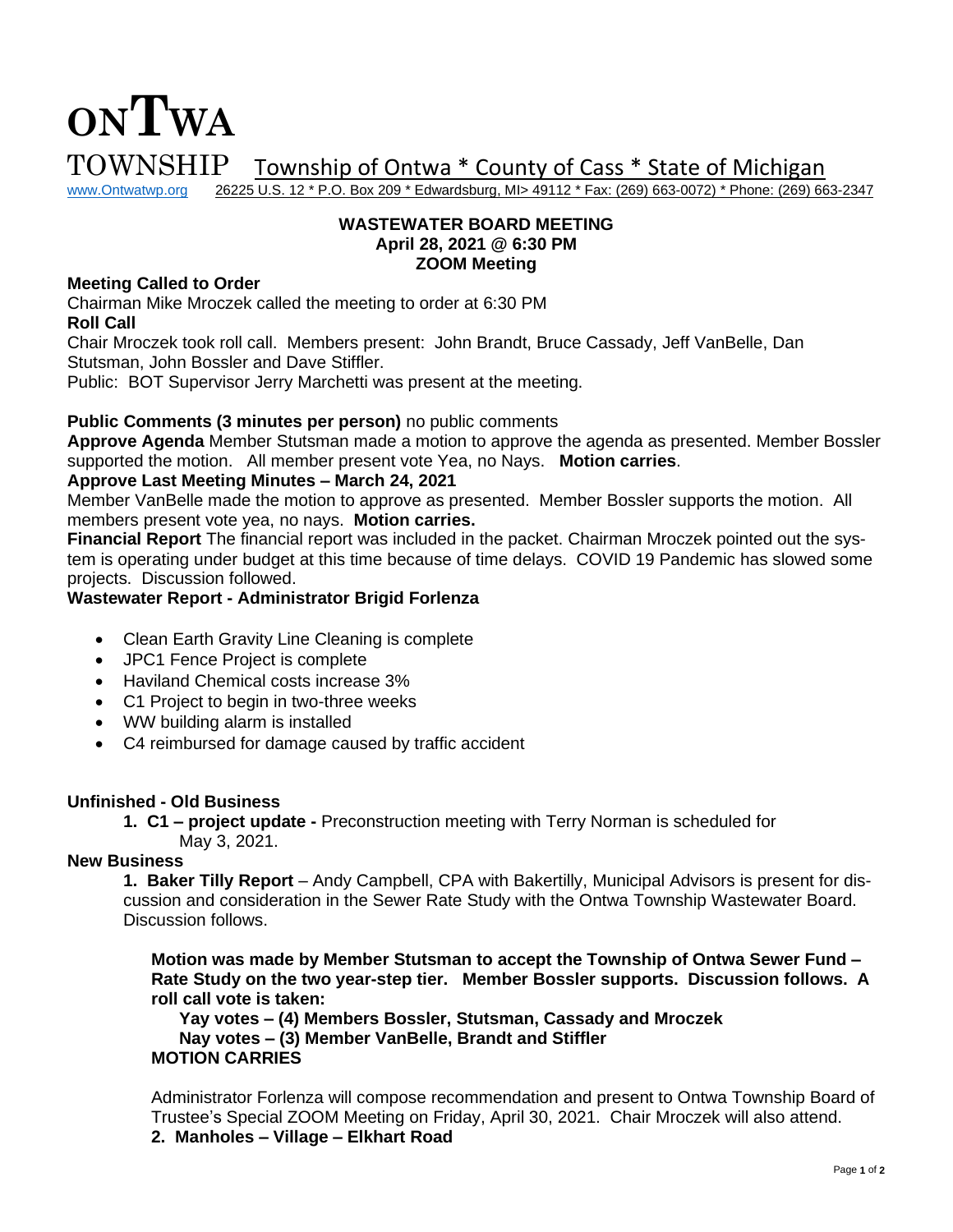# **ONTWA**  $\text{TOWNSHIP}$  Township of Ontwa \* County of Cass \* State of Michigan www.Ontwatwp.org 26225 U.S. 12 \* P.O. Box 209 \* Edwardsburg, MI> 49112 \* Fax: (269) 663-0072) \* Phone: (269) 66

26225 U.S. 12 \* P.O. Box 209 \* Edwardsburg, MI> 49112 \* Fax: (269) 663-0072) \* Phone: (269) 663-2347

## **WASTEWATER BOARD MEETING April 28, 2021 @ 6:30 PM ZOOM Meeting**

## **Meeting Called to Order**

Chairman Mike Mroczek called the meeting to order at 6:30 PM **Roll Call**

Chair Mroczek took roll call. Members present: John Brandt, Bruce Cassady, Jeff VanBelle, Dan Stutsman, John Bossler and Dave Stiffler.

Public: BOT Supervisor Jerry Marchetti was present at the meeting.

## **Public Comments (3 minutes per person)** no public comments

**Approve Agenda** Member Stutsman made a motion to approve the agenda as presented. Member Bossler supported the motion. All member present vote Yea, no Nays. **Motion carries**.

## **Approve Last Meeting Minutes – March 24, 2021**

Member VanBelle made the motion to approve as presented. Member Bossler supports the motion. All members present vote yea, no nays. **Motion carries.** 

**Financial Report** The financial report was included in the packet. Chairman Mroczek pointed out the system is operating under budget at this time because of time delays. COVID 19 Pandemic has slowed some projects. Discussion followed.

## **Wastewater Report - Administrator Brigid Forlenza**

- Clean Earth Gravity Line Cleaning is complete
- JPC1 Fence Project is complete
- Haviland Chemical costs increase 3%
- C1 Project to begin in two-three weeks
- WW building alarm is installed
- C4 reimbursed for damage caused by traffic accident

#### **Unfinished - Old Business**

**1. C1 – project update -** Preconstruction meeting with Terry Norman is scheduled for May 3, 2021.

#### **New Business**

**1. Baker Tilly Report** – Andy Campbell, CPA with Bakertilly, Municipal Advisors is present for discussion and consideration in the Sewer Rate Study with the Ontwa Township Wastewater Board. Discussion follows.

**Motion was made by Member Stutsman to accept the Township of Ontwa Sewer Fund – Rate Study on the two year-step tier. Member Bossler supports. Discussion follows. A roll call vote is taken:** 

**Yay votes – (4) Members Bossler, Stutsman, Cassady and Mroczek Nay votes – (3) Member VanBelle, Brandt and Stiffler MOTION CARRIES**

Administrator Forlenza will compose recommendation and present to Ontwa Township Board of Trustee's Special ZOOM Meeting on Friday, April 30, 2021. Chair Mroczek will also attend. **2. Manholes – Village – Elkhart Road**